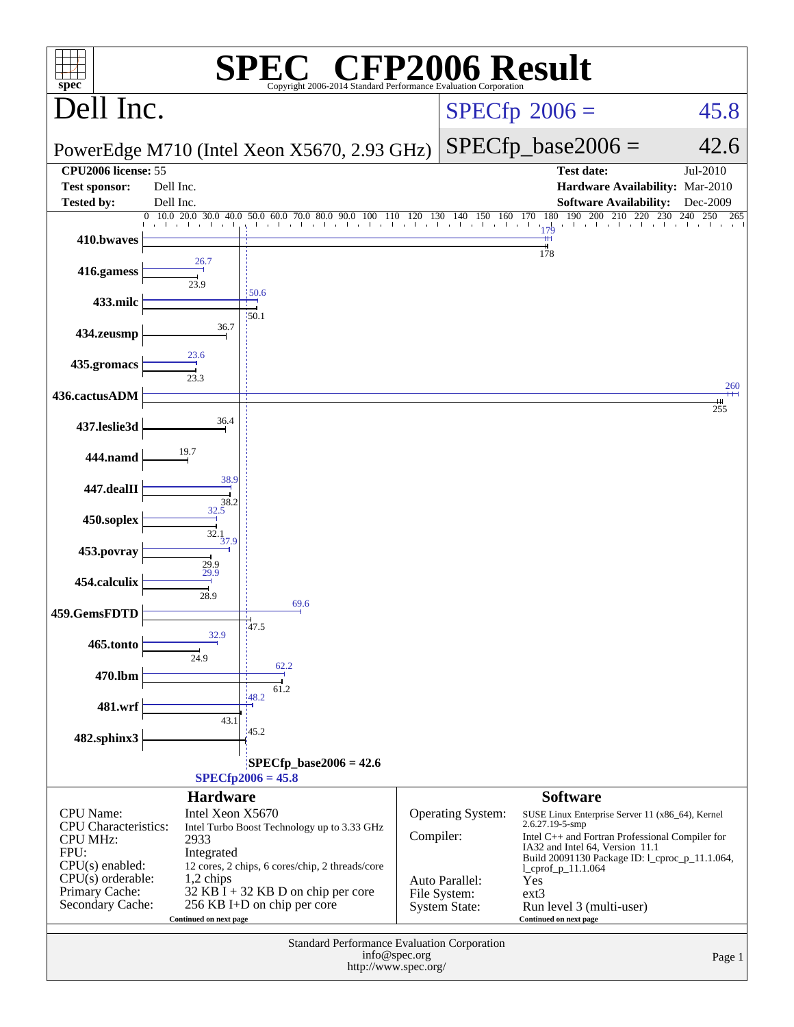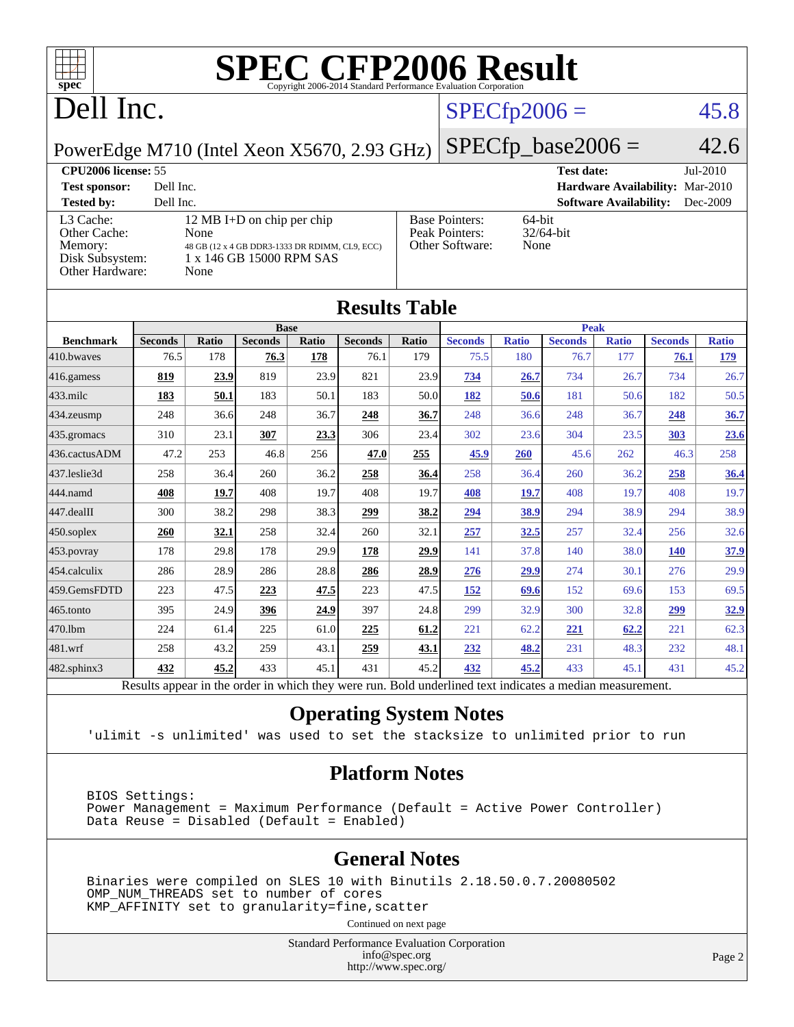

# Dell Inc.

### $SPECfp2006 = 45.8$  $SPECfp2006 = 45.8$

PowerEdge M710 (Intel Xeon X5670, 2.93 GHz)

# $SPECfp\_base2006 = 42.6$

#### **[CPU2006 license:](http://www.spec.org/auto/cpu2006/Docs/result-fields.html#CPU2006license)** 55 **[Test date:](http://www.spec.org/auto/cpu2006/Docs/result-fields.html#Testdate)** Jul-2010 **[Test sponsor:](http://www.spec.org/auto/cpu2006/Docs/result-fields.html#Testsponsor)** Dell Inc. **[Hardware Availability:](http://www.spec.org/auto/cpu2006/Docs/result-fields.html#HardwareAvailability)** Mar-2010 **[Tested by:](http://www.spec.org/auto/cpu2006/Docs/result-fields.html#Testedby)** Dell Inc. **[Software Availability:](http://www.spec.org/auto/cpu2006/Docs/result-fields.html#SoftwareAvailability)** Dec-2009 [L3 Cache:](http://www.spec.org/auto/cpu2006/Docs/result-fields.html#L3Cache) 12 MB I+D on chip per chip<br>Other Cache: None [Other Cache:](http://www.spec.org/auto/cpu2006/Docs/result-fields.html#OtherCache) **[Memory:](http://www.spec.org/auto/cpu2006/Docs/result-fields.html#Memory)** 48 GB (12 x 4 GB DDR3-1333 DR RDIMM, CL9, ECC) [Disk Subsystem:](http://www.spec.org/auto/cpu2006/Docs/result-fields.html#DiskSubsystem) 1 x 146 GB 15000 RPM SAS [Other Hardware:](http://www.spec.org/auto/cpu2006/Docs/result-fields.html#OtherHardware) None [Base Pointers:](http://www.spec.org/auto/cpu2006/Docs/result-fields.html#BasePointers) 64-bit<br>Peak Pointers: 32/64-bit [Peak Pointers:](http://www.spec.org/auto/cpu2006/Docs/result-fields.html#PeakPointers) [Other Software:](http://www.spec.org/auto/cpu2006/Docs/result-fields.html#OtherSoftware) None

| <b>Results Table</b>   |                                                                                                          |       |                |       |                |       |                |              |                |              |                |              |
|------------------------|----------------------------------------------------------------------------------------------------------|-------|----------------|-------|----------------|-------|----------------|--------------|----------------|--------------|----------------|--------------|
|                        |                                                                                                          |       | <b>Base</b>    |       |                |       | <b>Peak</b>    |              |                |              |                |              |
| <b>Benchmark</b>       | <b>Seconds</b>                                                                                           | Ratio | <b>Seconds</b> | Ratio | <b>Seconds</b> | Ratio | <b>Seconds</b> | <b>Ratio</b> | <b>Seconds</b> | <b>Ratio</b> | <b>Seconds</b> | <b>Ratio</b> |
| 410.bwayes             | 76.5                                                                                                     | 178   | 76.3           | 178   | 76.1           | 179   | 75.5           | 180          | 76.7           | 177          | 76.1           | 179          |
| 416.gamess             | 819                                                                                                      | 23.9  | 819            | 23.9  | 821            | 23.9  | <u>734</u>     | 26.7         | 734            | 26.7         | 734            | 26.7         |
| $433$ .milc            | 183                                                                                                      | 50.1  | 183            | 50.1  | 183            | 50.0  | 182            | 50.6         | 181            | 50.6         | 182            | 50.5         |
| $434$ . zeusmp         | 248                                                                                                      | 36.6  | 248            | 36.7  | 248            | 36.7  | 248            | 36.6         | 248            | 36.7         | 248            | 36.7         |
| $435.$ gromacs         | 310                                                                                                      | 23.1  | 307            | 23.3  | 306            | 23.4  | 302            | 23.6         | 304            | 23.5         | 303            | 23.6         |
| 436.cactusADM          | 47.2                                                                                                     | 253   | 46.8           | 256   | 47.0           | 255   | 45.9           | 260          | 45.6           | 262          | 46.3           | 258          |
| 437.leslie3d           | 258                                                                                                      | 36.4  | 260            | 36.2  | 258            | 36.4  | 258            | 36.4         | 260            | 36.2         | 258            | 36.4         |
| 444.namd               | 408                                                                                                      | 19.7  | 408            | 19.7  | 408            | 19.7  | 408            | 19.7         | 408            | 19.7         | 408            | 19.7         |
| $ 447 \text{.}$ dealII | 300                                                                                                      | 38.2  | 298            | 38.3  | 299            | 38.2  | 294            | 38.9         | 294            | 38.9         | 294            | 38.9         |
| $450$ .soplex          | 260                                                                                                      | 32.1  | 258            | 32.4  | 260            | 32.1  | 257            | 32.5         | 257            | 32.4         | 256            | 32.6         |
| $453$ .povray          | 178                                                                                                      | 29.8  | 178            | 29.9  | 178            | 29.9  | 141            | 37.8         | 140            | 38.0         | <u>140</u>     | 37.9         |
| $ 454$ .calculix       | 286                                                                                                      | 28.9  | 286            | 28.8  | 286            | 28.9  | 276            | 29.9         | 274            | 30.1         | 276            | 29.9         |
| 459.GemsFDTD           | 223                                                                                                      | 47.5  | 223            | 47.5  | 223            | 47.5  | 152            | 69.6         | 152            | 69.6         | 153            | 69.5         |
| 465.tonto              | 395                                                                                                      | 24.9  | 396            | 24.9  | 397            | 24.8  | 299            | 32.9         | 300            | 32.8         | 299            | 32.9         |
| 470.1bm                | 224                                                                                                      | 61.4  | 225            | 61.0  | 225            | 61.2  | 221            | 62.2         | 221            | 62.2         | 221            | 62.3         |
| 481.wrf                | 258                                                                                                      | 43.2  | 259            | 43.1  | 259            | 43.1  | 232            | 48.2         | 231            | 48.3         | 232            | 48.1         |
| $482$ .sphinx $3$      | 432                                                                                                      | 45.2  | 433            | 45.1  | 431            | 45.2  | 432            | 45.2         | 433            | 45.1         | 431            | 45.2         |
|                        | Results appear in the order in which they were run. Bold underlined text indicates a median measurement. |       |                |       |                |       |                |              |                |              |                |              |

#### **[Operating System Notes](http://www.spec.org/auto/cpu2006/Docs/result-fields.html#OperatingSystemNotes)**

'ulimit -s unlimited' was used to set the stacksize to unlimited prior to run

#### **[Platform Notes](http://www.spec.org/auto/cpu2006/Docs/result-fields.html#PlatformNotes)**

 BIOS Settings: Power Management = Maximum Performance (Default = Active Power Controller) Data Reuse = Disabled (Default = Enabled)

#### **[General Notes](http://www.spec.org/auto/cpu2006/Docs/result-fields.html#GeneralNotes)**

 Binaries were compiled on SLES 10 with Binutils 2.18.50.0.7.20080502 OMP\_NUM\_THREADS set to number of cores KMP\_AFFINITY set to granularity=fine,scatter

Continued on next page

Standard Performance Evaluation Corporation [info@spec.org](mailto:info@spec.org) <http://www.spec.org/>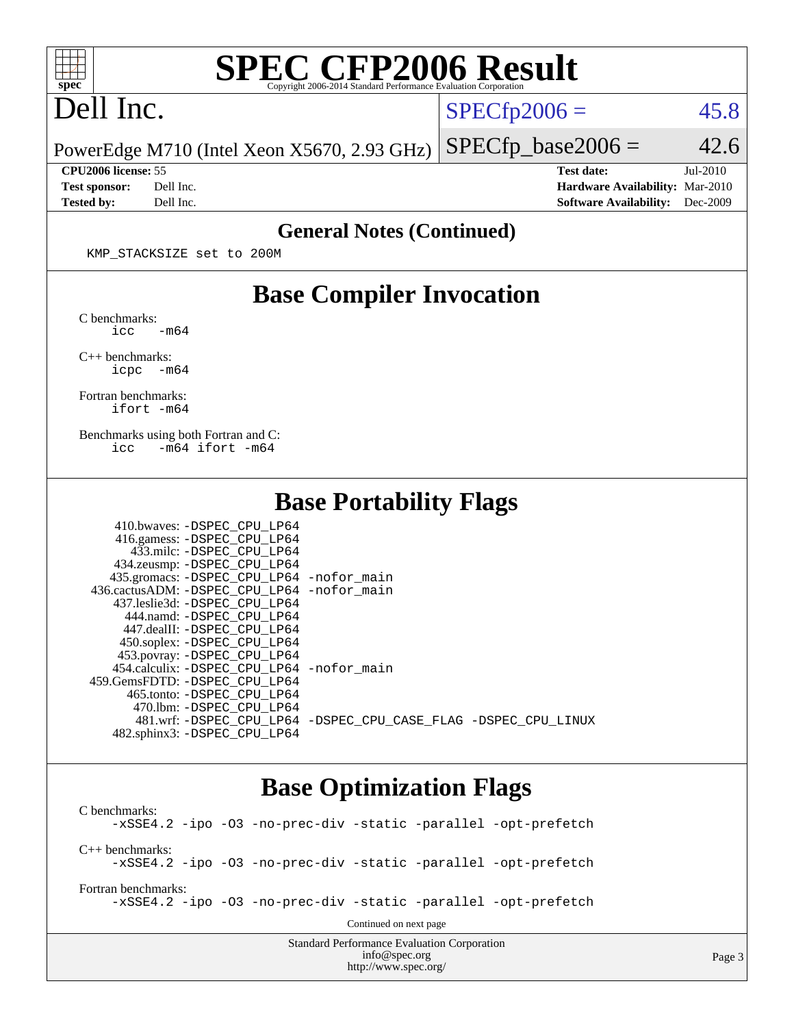

# Dell Inc.

 $SPECTp2006 = 45.8$ 

Page 3

PowerEdge M710 (Intel Xeon X5670, 2.93 GHz)  $SPECTp\_base2006 = 42.6$ 

**[CPU2006 license:](http://www.spec.org/auto/cpu2006/Docs/result-fields.html#CPU2006license)** 55 **[Test date:](http://www.spec.org/auto/cpu2006/Docs/result-fields.html#Testdate)** Jul-2010 **[Test sponsor:](http://www.spec.org/auto/cpu2006/Docs/result-fields.html#Testsponsor)** Dell Inc. **[Hardware Availability:](http://www.spec.org/auto/cpu2006/Docs/result-fields.html#HardwareAvailability)** Mar-2010 **[Tested by:](http://www.spec.org/auto/cpu2006/Docs/result-fields.html#Testedby)** Dell Inc. **[Software Availability:](http://www.spec.org/auto/cpu2006/Docs/result-fields.html#SoftwareAvailability)** Dec-2009

#### **[General Notes \(Continued\)](http://www.spec.org/auto/cpu2006/Docs/result-fields.html#GeneralNotes)**

KMP\_STACKSIZE set to 200M

### **[Base Compiler Invocation](http://www.spec.org/auto/cpu2006/Docs/result-fields.html#BaseCompilerInvocation)**

[C benchmarks](http://www.spec.org/auto/cpu2006/Docs/result-fields.html#Cbenchmarks):  $\text{icc}$   $-\text{m64}$ 

[C++ benchmarks:](http://www.spec.org/auto/cpu2006/Docs/result-fields.html#CXXbenchmarks) [icpc -m64](http://www.spec.org/cpu2006/results/res2010q3/cpu2006-20100719-12581.flags.html#user_CXXbase_intel_icpc_64bit_bedb90c1146cab66620883ef4f41a67e)

[Fortran benchmarks](http://www.spec.org/auto/cpu2006/Docs/result-fields.html#Fortranbenchmarks): [ifort -m64](http://www.spec.org/cpu2006/results/res2010q3/cpu2006-20100719-12581.flags.html#user_FCbase_intel_ifort_64bit_ee9d0fb25645d0210d97eb0527dcc06e)

[Benchmarks using both Fortran and C](http://www.spec.org/auto/cpu2006/Docs/result-fields.html#BenchmarksusingbothFortranandC): [icc -m64](http://www.spec.org/cpu2006/results/res2010q3/cpu2006-20100719-12581.flags.html#user_CC_FCbase_intel_icc_64bit_0b7121f5ab7cfabee23d88897260401c) [ifort -m64](http://www.spec.org/cpu2006/results/res2010q3/cpu2006-20100719-12581.flags.html#user_CC_FCbase_intel_ifort_64bit_ee9d0fb25645d0210d97eb0527dcc06e)

#### **[Base Portability Flags](http://www.spec.org/auto/cpu2006/Docs/result-fields.html#BasePortabilityFlags)**

| 410.bwaves: -DSPEC CPU LP64                |                                                                |
|--------------------------------------------|----------------------------------------------------------------|
| 416.gamess: -DSPEC_CPU_LP64                |                                                                |
| 433.milc: -DSPEC CPU LP64                  |                                                                |
| 434.zeusmp: -DSPEC_CPU_LP64                |                                                                |
| 435.gromacs: -DSPEC_CPU_LP64 -nofor_main   |                                                                |
| 436.cactusADM: -DSPEC CPU LP64 -nofor main |                                                                |
| 437.leslie3d: -DSPEC CPU LP64              |                                                                |
| 444.namd: -DSPEC CPU LP64                  |                                                                |
| 447.dealII: -DSPEC CPU LP64                |                                                                |
| 450.soplex: -DSPEC_CPU_LP64                |                                                                |
| 453.povray: -DSPEC_CPU_LP64                |                                                                |
| 454.calculix: -DSPEC CPU LP64 -nofor main  |                                                                |
| 459. GemsFDTD: - DSPEC CPU LP64            |                                                                |
| 465.tonto: - DSPEC CPU LP64                |                                                                |
| 470.1bm: - DSPEC CPU LP64                  |                                                                |
|                                            | 481.wrf: -DSPEC CPU_LP64 -DSPEC_CPU_CASE_FLAG -DSPEC_CPU_LINUX |
| 482.sphinx3: -DSPEC CPU LP64               |                                                                |

### **[Base Optimization Flags](http://www.spec.org/auto/cpu2006/Docs/result-fields.html#BaseOptimizationFlags)**

[info@spec.org](mailto:info@spec.org) <http://www.spec.org/>

Standard Performance Evaluation Corporation [C benchmarks](http://www.spec.org/auto/cpu2006/Docs/result-fields.html#Cbenchmarks): [-xSSE4.2](http://www.spec.org/cpu2006/results/res2010q3/cpu2006-20100719-12581.flags.html#user_CCbase_f-xSSE42_f91528193cf0b216347adb8b939d4107) [-ipo](http://www.spec.org/cpu2006/results/res2010q3/cpu2006-20100719-12581.flags.html#user_CCbase_f-ipo) [-O3](http://www.spec.org/cpu2006/results/res2010q3/cpu2006-20100719-12581.flags.html#user_CCbase_f-O3) [-no-prec-div](http://www.spec.org/cpu2006/results/res2010q3/cpu2006-20100719-12581.flags.html#user_CCbase_f-no-prec-div) [-static](http://www.spec.org/cpu2006/results/res2010q3/cpu2006-20100719-12581.flags.html#user_CCbase_f-static) [-parallel](http://www.spec.org/cpu2006/results/res2010q3/cpu2006-20100719-12581.flags.html#user_CCbase_f-parallel) [-opt-prefetch](http://www.spec.org/cpu2006/results/res2010q3/cpu2006-20100719-12581.flags.html#user_CCbase_f-opt-prefetch) [C++ benchmarks:](http://www.spec.org/auto/cpu2006/Docs/result-fields.html#CXXbenchmarks) [-xSSE4.2](http://www.spec.org/cpu2006/results/res2010q3/cpu2006-20100719-12581.flags.html#user_CXXbase_f-xSSE42_f91528193cf0b216347adb8b939d4107) [-ipo](http://www.spec.org/cpu2006/results/res2010q3/cpu2006-20100719-12581.flags.html#user_CXXbase_f-ipo) [-O3](http://www.spec.org/cpu2006/results/res2010q3/cpu2006-20100719-12581.flags.html#user_CXXbase_f-O3) [-no-prec-div](http://www.spec.org/cpu2006/results/res2010q3/cpu2006-20100719-12581.flags.html#user_CXXbase_f-no-prec-div) [-static](http://www.spec.org/cpu2006/results/res2010q3/cpu2006-20100719-12581.flags.html#user_CXXbase_f-static) [-parallel](http://www.spec.org/cpu2006/results/res2010q3/cpu2006-20100719-12581.flags.html#user_CXXbase_f-parallel) [-opt-prefetch](http://www.spec.org/cpu2006/results/res2010q3/cpu2006-20100719-12581.flags.html#user_CXXbase_f-opt-prefetch) [Fortran benchmarks](http://www.spec.org/auto/cpu2006/Docs/result-fields.html#Fortranbenchmarks): [-xSSE4.2](http://www.spec.org/cpu2006/results/res2010q3/cpu2006-20100719-12581.flags.html#user_FCbase_f-xSSE42_f91528193cf0b216347adb8b939d4107) [-ipo](http://www.spec.org/cpu2006/results/res2010q3/cpu2006-20100719-12581.flags.html#user_FCbase_f-ipo) [-O3](http://www.spec.org/cpu2006/results/res2010q3/cpu2006-20100719-12581.flags.html#user_FCbase_f-O3) [-no-prec-div](http://www.spec.org/cpu2006/results/res2010q3/cpu2006-20100719-12581.flags.html#user_FCbase_f-no-prec-div) [-static](http://www.spec.org/cpu2006/results/res2010q3/cpu2006-20100719-12581.flags.html#user_FCbase_f-static) [-parallel](http://www.spec.org/cpu2006/results/res2010q3/cpu2006-20100719-12581.flags.html#user_FCbase_f-parallel) [-opt-prefetch](http://www.spec.org/cpu2006/results/res2010q3/cpu2006-20100719-12581.flags.html#user_FCbase_f-opt-prefetch) Continued on next page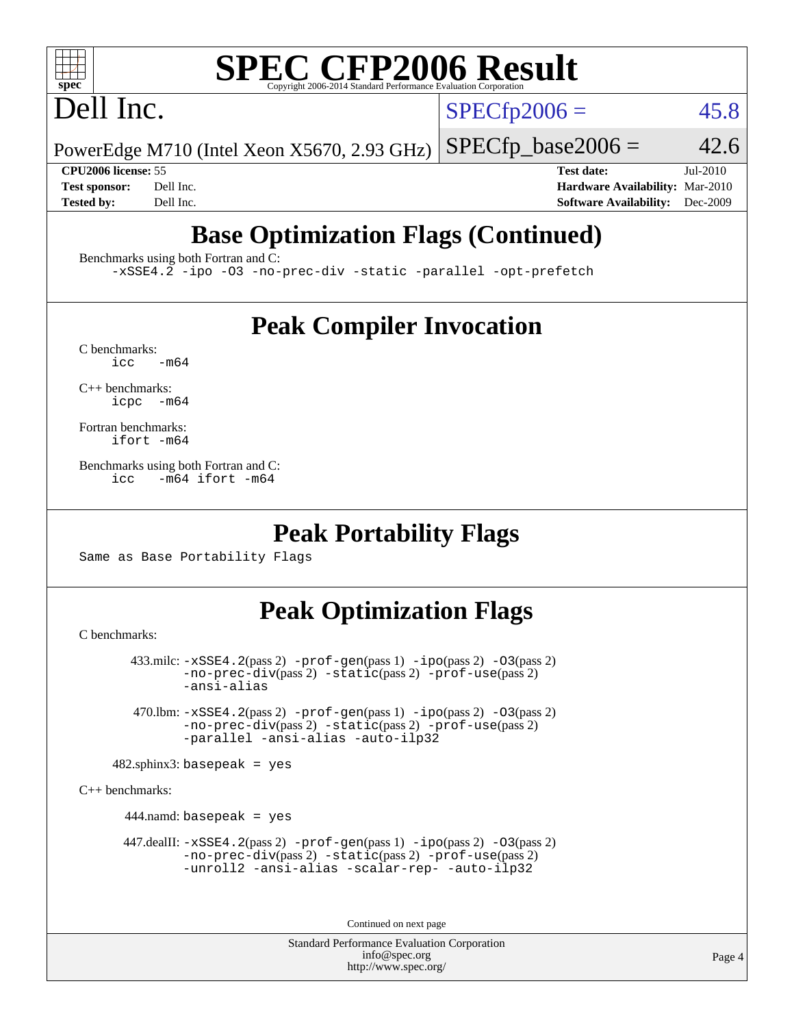# Dell Inc.

 $SPECTp2006 = 45.8$ 

PowerEdge M710 (Intel Xeon X5670, 2.93 GHz)  $SPECTp\_base2006 = 42.6$ 

**[CPU2006 license:](http://www.spec.org/auto/cpu2006/Docs/result-fields.html#CPU2006license)** 55 **[Test date:](http://www.spec.org/auto/cpu2006/Docs/result-fields.html#Testdate)** Jul-2010 **[Test sponsor:](http://www.spec.org/auto/cpu2006/Docs/result-fields.html#Testsponsor)** Dell Inc. **[Hardware Availability:](http://www.spec.org/auto/cpu2006/Docs/result-fields.html#HardwareAvailability)** Mar-2010 **[Tested by:](http://www.spec.org/auto/cpu2006/Docs/result-fields.html#Testedby)** Dell Inc. **[Software Availability:](http://www.spec.org/auto/cpu2006/Docs/result-fields.html#SoftwareAvailability)** Dec-2009

## **[Base Optimization Flags \(Continued\)](http://www.spec.org/auto/cpu2006/Docs/result-fields.html#BaseOptimizationFlags)**

[Benchmarks using both Fortran and C](http://www.spec.org/auto/cpu2006/Docs/result-fields.html#BenchmarksusingbothFortranandC):

[-xSSE4.2](http://www.spec.org/cpu2006/results/res2010q3/cpu2006-20100719-12581.flags.html#user_CC_FCbase_f-xSSE42_f91528193cf0b216347adb8b939d4107) [-ipo](http://www.spec.org/cpu2006/results/res2010q3/cpu2006-20100719-12581.flags.html#user_CC_FCbase_f-ipo) [-O3](http://www.spec.org/cpu2006/results/res2010q3/cpu2006-20100719-12581.flags.html#user_CC_FCbase_f-O3) [-no-prec-div](http://www.spec.org/cpu2006/results/res2010q3/cpu2006-20100719-12581.flags.html#user_CC_FCbase_f-no-prec-div) [-static](http://www.spec.org/cpu2006/results/res2010q3/cpu2006-20100719-12581.flags.html#user_CC_FCbase_f-static) [-parallel](http://www.spec.org/cpu2006/results/res2010q3/cpu2006-20100719-12581.flags.html#user_CC_FCbase_f-parallel) [-opt-prefetch](http://www.spec.org/cpu2006/results/res2010q3/cpu2006-20100719-12581.flags.html#user_CC_FCbase_f-opt-prefetch)

## **[Peak Compiler Invocation](http://www.spec.org/auto/cpu2006/Docs/result-fields.html#PeakCompilerInvocation)**

 $C$  benchmarks:<br>icc  $-m64$ 

[C++ benchmarks:](http://www.spec.org/auto/cpu2006/Docs/result-fields.html#CXXbenchmarks) [icpc -m64](http://www.spec.org/cpu2006/results/res2010q3/cpu2006-20100719-12581.flags.html#user_CXXpeak_intel_icpc_64bit_bedb90c1146cab66620883ef4f41a67e)

[Fortran benchmarks](http://www.spec.org/auto/cpu2006/Docs/result-fields.html#Fortranbenchmarks): [ifort -m64](http://www.spec.org/cpu2006/results/res2010q3/cpu2006-20100719-12581.flags.html#user_FCpeak_intel_ifort_64bit_ee9d0fb25645d0210d97eb0527dcc06e)

[Benchmarks using both Fortran and C](http://www.spec.org/auto/cpu2006/Docs/result-fields.html#BenchmarksusingbothFortranandC): [icc -m64](http://www.spec.org/cpu2006/results/res2010q3/cpu2006-20100719-12581.flags.html#user_CC_FCpeak_intel_icc_64bit_0b7121f5ab7cfabee23d88897260401c) [ifort -m64](http://www.spec.org/cpu2006/results/res2010q3/cpu2006-20100719-12581.flags.html#user_CC_FCpeak_intel_ifort_64bit_ee9d0fb25645d0210d97eb0527dcc06e)

### **[Peak Portability Flags](http://www.spec.org/auto/cpu2006/Docs/result-fields.html#PeakPortabilityFlags)**

Same as Base Portability Flags

## **[Peak Optimization Flags](http://www.spec.org/auto/cpu2006/Docs/result-fields.html#PeakOptimizationFlags)**

[C benchmarks](http://www.spec.org/auto/cpu2006/Docs/result-fields.html#Cbenchmarks):

 433.milc: [-xSSE4.2](http://www.spec.org/cpu2006/results/res2010q3/cpu2006-20100719-12581.flags.html#user_peakPASS2_CFLAGSPASS2_LDFLAGS433_milc_f-xSSE42_f91528193cf0b216347adb8b939d4107)(pass 2) [-prof-gen](http://www.spec.org/cpu2006/results/res2010q3/cpu2006-20100719-12581.flags.html#user_peakPASS1_CFLAGSPASS1_LDFLAGS433_milc_prof_gen_e43856698f6ca7b7e442dfd80e94a8fc)(pass 1) [-ipo](http://www.spec.org/cpu2006/results/res2010q3/cpu2006-20100719-12581.flags.html#user_peakPASS2_CFLAGSPASS2_LDFLAGS433_milc_f-ipo)(pass 2) [-O3](http://www.spec.org/cpu2006/results/res2010q3/cpu2006-20100719-12581.flags.html#user_peakPASS2_CFLAGSPASS2_LDFLAGS433_milc_f-O3)(pass 2) [-no-prec-div](http://www.spec.org/cpu2006/results/res2010q3/cpu2006-20100719-12581.flags.html#user_peakPASS2_CFLAGSPASS2_LDFLAGS433_milc_f-no-prec-div)(pass 2) [-static](http://www.spec.org/cpu2006/results/res2010q3/cpu2006-20100719-12581.flags.html#user_peakPASS2_CFLAGSPASS2_LDFLAGS433_milc_f-static)(pass 2) [-prof-use](http://www.spec.org/cpu2006/results/res2010q3/cpu2006-20100719-12581.flags.html#user_peakPASS2_CFLAGSPASS2_LDFLAGS433_milc_prof_use_bccf7792157ff70d64e32fe3e1250b55)(pass 2) [-ansi-alias](http://www.spec.org/cpu2006/results/res2010q3/cpu2006-20100719-12581.flags.html#user_peakOPTIMIZE433_milc_f-ansi-alias)

 470.lbm: [-xSSE4.2](http://www.spec.org/cpu2006/results/res2010q3/cpu2006-20100719-12581.flags.html#user_peakPASS2_CFLAGSPASS2_LDFLAGS470_lbm_f-xSSE42_f91528193cf0b216347adb8b939d4107)(pass 2) [-prof-gen](http://www.spec.org/cpu2006/results/res2010q3/cpu2006-20100719-12581.flags.html#user_peakPASS1_CFLAGSPASS1_LDFLAGS470_lbm_prof_gen_e43856698f6ca7b7e442dfd80e94a8fc)(pass 1) [-ipo](http://www.spec.org/cpu2006/results/res2010q3/cpu2006-20100719-12581.flags.html#user_peakPASS2_CFLAGSPASS2_LDFLAGS470_lbm_f-ipo)(pass 2) [-O3](http://www.spec.org/cpu2006/results/res2010q3/cpu2006-20100719-12581.flags.html#user_peakPASS2_CFLAGSPASS2_LDFLAGS470_lbm_f-O3)(pass 2) [-no-prec-div](http://www.spec.org/cpu2006/results/res2010q3/cpu2006-20100719-12581.flags.html#user_peakPASS2_CFLAGSPASS2_LDFLAGS470_lbm_f-no-prec-div)(pass 2) [-static](http://www.spec.org/cpu2006/results/res2010q3/cpu2006-20100719-12581.flags.html#user_peakPASS2_CFLAGSPASS2_LDFLAGS470_lbm_f-static)(pass 2) [-prof-use](http://www.spec.org/cpu2006/results/res2010q3/cpu2006-20100719-12581.flags.html#user_peakPASS2_CFLAGSPASS2_LDFLAGS470_lbm_prof_use_bccf7792157ff70d64e32fe3e1250b55)(pass 2) [-parallel](http://www.spec.org/cpu2006/results/res2010q3/cpu2006-20100719-12581.flags.html#user_peakOPTIMIZE470_lbm_f-parallel) [-ansi-alias](http://www.spec.org/cpu2006/results/res2010q3/cpu2006-20100719-12581.flags.html#user_peakOPTIMIZE470_lbm_f-ansi-alias) [-auto-ilp32](http://www.spec.org/cpu2006/results/res2010q3/cpu2006-20100719-12581.flags.html#user_peakCOPTIMIZE470_lbm_f-auto-ilp32)

 $482$ .sphinx3: basepeak = yes

[C++ benchmarks:](http://www.spec.org/auto/cpu2006/Docs/result-fields.html#CXXbenchmarks)

444.namd: basepeak = yes

 $447$ .dealII:  $-xSSE4$ .  $2(pass 2)$  [-prof-gen](http://www.spec.org/cpu2006/results/res2010q3/cpu2006-20100719-12581.flags.html#user_peakPASS1_CXXFLAGSPASS1_LDFLAGS447_dealII_prof_gen_e43856698f6ca7b7e442dfd80e94a8fc)(pass 1) [-ipo](http://www.spec.org/cpu2006/results/res2010q3/cpu2006-20100719-12581.flags.html#user_peakPASS2_CXXFLAGSPASS2_LDFLAGS447_dealII_f-ipo)(pass 2) -03(pass 2) [-no-prec-div](http://www.spec.org/cpu2006/results/res2010q3/cpu2006-20100719-12581.flags.html#user_peakPASS2_CXXFLAGSPASS2_LDFLAGS447_dealII_f-no-prec-div)(pass 2) [-static](http://www.spec.org/cpu2006/results/res2010q3/cpu2006-20100719-12581.flags.html#user_peakPASS2_CXXFLAGSPASS2_LDFLAGS447_dealII_f-static)(pass 2) [-prof-use](http://www.spec.org/cpu2006/results/res2010q3/cpu2006-20100719-12581.flags.html#user_peakPASS2_CXXFLAGSPASS2_LDFLAGS447_dealII_prof_use_bccf7792157ff70d64e32fe3e1250b55)(pass 2) [-unroll2](http://www.spec.org/cpu2006/results/res2010q3/cpu2006-20100719-12581.flags.html#user_peakOPTIMIZE447_dealII_f-unroll_784dae83bebfb236979b41d2422d7ec2) [-ansi-alias](http://www.spec.org/cpu2006/results/res2010q3/cpu2006-20100719-12581.flags.html#user_peakOPTIMIZE447_dealII_f-ansi-alias) [-scalar-rep-](http://www.spec.org/cpu2006/results/res2010q3/cpu2006-20100719-12581.flags.html#user_peakOPTIMIZE447_dealII_f-disablescalarrep_abbcad04450fb118e4809c81d83c8a1d) [-auto-ilp32](http://www.spec.org/cpu2006/results/res2010q3/cpu2006-20100719-12581.flags.html#user_peakCXXOPTIMIZE447_dealII_f-auto-ilp32)

Continued on next page

Standard Performance Evaluation Corporation [info@spec.org](mailto:info@spec.org) <http://www.spec.org/>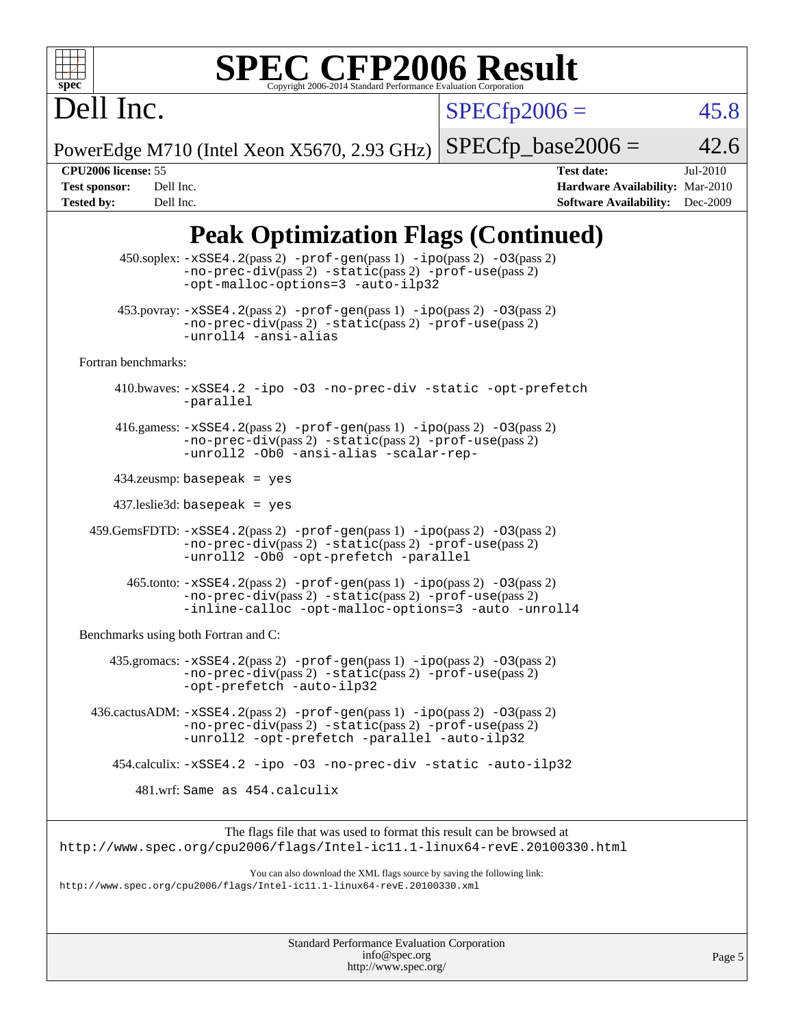

 $SPECfp2006 = 45.8$  $SPECfp2006 = 45.8$ 

PowerEdge M710 (Intel Xeon X5670, 2.93 GHz)  $SPECfp\_base2006 = 42.6$ 

Dell Inc.

**[CPU2006 license:](http://www.spec.org/auto/cpu2006/Docs/result-fields.html#CPU2006license)** 55 **[Test date:](http://www.spec.org/auto/cpu2006/Docs/result-fields.html#Testdate)** Jul-2010 **[Test sponsor:](http://www.spec.org/auto/cpu2006/Docs/result-fields.html#Testsponsor)** Dell Inc. **[Hardware Availability:](http://www.spec.org/auto/cpu2006/Docs/result-fields.html#HardwareAvailability)** Mar-2010 **[Tested by:](http://www.spec.org/auto/cpu2006/Docs/result-fields.html#Testedby)** Dell Inc. **[Software Availability:](http://www.spec.org/auto/cpu2006/Docs/result-fields.html#SoftwareAvailability)** Dec-2009

## **[Peak Optimization Flags \(Continued\)](http://www.spec.org/auto/cpu2006/Docs/result-fields.html#PeakOptimizationFlags)**

|                                      | 450.soplex: -xSSE4.2(pass 2) -prof-gen(pass 1) -ipo(pass 2) -03(pass 2)<br>$-no-prec-div(pass 2) -static(pass 2) -prot-use(pass 2)$<br>-opt-malloc-options=3 -auto-ilp32                         |
|--------------------------------------|--------------------------------------------------------------------------------------------------------------------------------------------------------------------------------------------------|
|                                      | 453.povray: $-xSSE4$ . 2(pass 2) $-prof-gen(pass 1) -ipo(pass 2) -O3(pass 2)$<br>-no-prec-div(pass 2) -static(pass 2) -prof-use(pass 2)<br>-unroll4 -ansi-alias                                  |
| Fortran benchmarks:                  |                                                                                                                                                                                                  |
|                                      | 410.bwaves: -xSSE4.2 -ipo -03 -no-prec-div -static -opt-prefetch<br>-parallel                                                                                                                    |
|                                      | 416.gamess: $-xSSE4$ . 2(pass 2) $-prof-gen(pass 1) -ipo(pass 2) -O3(pass 2)$<br>-no-prec-div(pass 2) -static(pass 2) -prof-use(pass 2)<br>-unroll2 -Ob0 -ansi-alias -scalar-rep-                |
|                                      | $434$ .zeusmp: basepeak = yes                                                                                                                                                                    |
|                                      | $437$ .leslie3d: basepeak = yes                                                                                                                                                                  |
|                                      | 459.GemsFDTD: -xSSE4.2(pass 2) -prof-gen(pass 1) -ipo(pass 2) -03(pass 2)<br>$-no-prec-div(pass 2) -static(pass 2) -prof-use(pass 2)$<br>-unroll2 -0b0 -opt-prefetch -parallel                   |
|                                      | $465$ .tonto: $-xSSE4$ . 2(pass 2) $-prof-gen(pass 1) -ipo(pass 2) -03(pass 2)$<br>-no-prec-div(pass 2) -static(pass 2) -prof-use(pass 2)<br>-inline-calloc -opt-malloc-options=3 -auto -unroll4 |
| Benchmarks using both Fortran and C: |                                                                                                                                                                                                  |
|                                      | $435$ .gromacs: $-xSSE4$ . 2(pass 2) $-prof-gen(pass 1) -ipo(pass 2) -03(pass 2)$<br>-no-prec-div(pass 2) -static(pass 2) -prof-use(pass 2)<br>-opt-prefetch -auto-ilp32                         |
|                                      | $436.cactusADM: -xSSE4.2(pass 2) -prof-gen(pass 1) -ipo(pass 2) -03(pass 2)$<br>$-no-prec-div(pass 2) -static(pass 2) -prof-use(pass 2)$<br>-unroll2 -opt-prefetch -parallel -auto-ilp32         |
|                                      | 454.calculix: -xSSE4.2 -ipo -03 -no-prec-div -static -auto-ilp32                                                                                                                                 |
|                                      | 481.wrf: Same as 454.calculix                                                                                                                                                                    |
|                                      | The flags file that was used to format this result can be browsed at                                                                                                                             |
|                                      | http://www.spec.org/cpu2006/flags/Intel-ic11.1-linux64-revE.20100330.html                                                                                                                        |
|                                      | You can also download the XML flags source by saving the following link:<br>http://www.spec.org/cpu2006/flags/Intel-icll.1-linux64-revE.20100330.xml                                             |
|                                      |                                                                                                                                                                                                  |
|                                      |                                                                                                                                                                                                  |